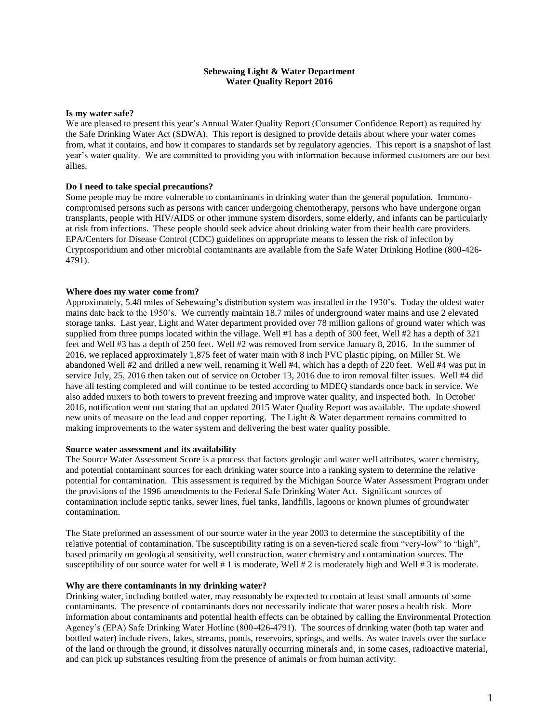### **Sebewaing Light & Water Department Water Quality Report 2016**

#### **Is my water safe?**

We are pleased to present this year's Annual Water Quality Report (Consumer Confidence Report) as required by the Safe Drinking Water Act (SDWA). This report is designed to provide details about where your water comes from, what it contains, and how it compares to standards set by regulatory agencies. This report is a snapshot of last year's water quality. We are committed to providing you with information because informed customers are our best allies.

#### **Do I need to take special precautions?**

Some people may be more vulnerable to contaminants in drinking water than the general population. Immunocompromised persons such as persons with cancer undergoing chemotherapy, persons who have undergone organ transplants, people with HIV/AIDS or other immune system disorders, some elderly, and infants can be particularly at risk from infections. These people should seek advice about drinking water from their health care providers. EPA/Centers for Disease Control (CDC) guidelines on appropriate means to lessen the risk of infection by Cryptosporidium and other microbial contaminants are available from the Safe Water Drinking Hotline (800-426- 4791).

#### **Where does my water come from?**

Approximately, 5.48 miles of Sebewaing's distribution system was installed in the 1930's. Today the oldest water mains date back to the 1950's. We currently maintain 18.7 miles of underground water mains and use 2 elevated storage tanks. Last year, Light and Water department provided over 78 million gallons of ground water which was supplied from three pumps located within the village. Well #1 has a depth of 300 feet, Well #2 has a depth of 321 feet and Well #3 has a depth of 250 feet. Well #2 was removed from service January 8, 2016. In the summer of 2016, we replaced approximately 1,875 feet of water main with 8 inch PVC plastic piping, on Miller St. We abandoned Well #2 and drilled a new well, renaming it Well #4, which has a depth of 220 feet. Well #4 was put in service July, 25, 2016 then taken out of service on October 13, 2016 due to iron removal filter issues. Well #4 did have all testing completed and will continue to be tested according to MDEQ standards once back in service. We also added mixers to both towers to prevent freezing and improve water quality, and inspected both. In October 2016, notification went out stating that an updated 2015 Water Quality Report was available. The update showed new units of measure on the lead and copper reporting. The Light & Water department remains committed to making improvements to the water system and delivering the best water quality possible.

#### **Source water assessment and its availability**

The Source Water Assessment Score is a process that factors geologic and water well attributes, water chemistry, and potential contaminant sources for each drinking water source into a ranking system to determine the relative potential for contamination. This assessment is required by the Michigan Source Water Assessment Program under the provisions of the 1996 amendments to the Federal Safe Drinking Water Act. Significant sources of contamination include septic tanks, sewer lines, fuel tanks, landfills, lagoons or known plumes of groundwater contamination.

The State preformed an assessment of our source water in the year 2003 to determine the susceptibility of the relative potential of contamination. The susceptibility rating is on a seven-tiered scale from "very-low" to "high", based primarily on geological sensitivity, well construction, water chemistry and contamination sources. The susceptibility of our source water for well # 1 is moderate, Well # 2 is moderately high and Well # 3 is moderate.

#### **Why are there contaminants in my drinking water?**

Drinking water, including bottled water, may reasonably be expected to contain at least small amounts of some contaminants. The presence of contaminants does not necessarily indicate that water poses a health risk. More information about contaminants and potential health effects can be obtained by calling the Environmental Protection Agency's (EPA) Safe Drinking Water Hotline (800-426-4791). The sources of drinking water (both tap water and bottled water) include rivers, lakes, streams, ponds, reservoirs, springs, and wells. As water travels over the surface of the land or through the ground, it dissolves naturally occurring minerals and, in some cases, radioactive material, and can pick up substances resulting from the presence of animals or from human activity: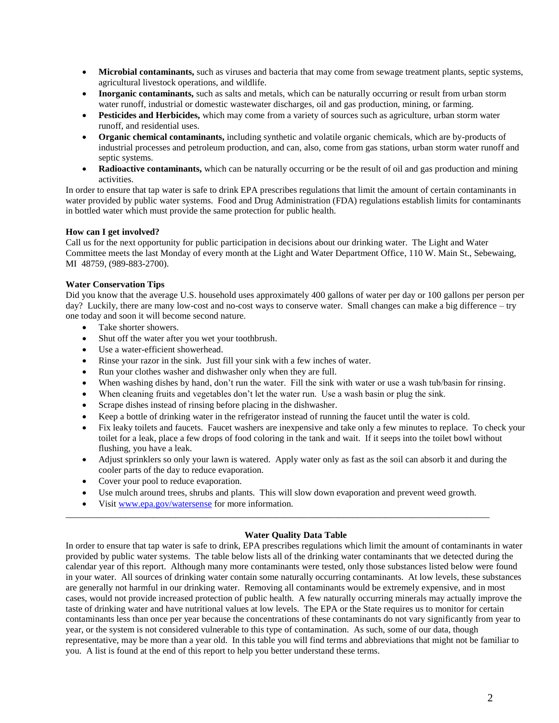- **Microbial contaminants,** such as viruses and bacteria that may come from sewage treatment plants, septic systems, agricultural livestock operations, and wildlife.
- **Inorganic contaminants,** such as salts and metals, which can be naturally occurring or result from urban storm water runoff, industrial or domestic wastewater discharges, oil and gas production, mining, or farming.
- **Pesticides and Herbicides,** which may come from a variety of sources such as agriculture, urban storm water runoff, and residential uses.
- **Organic chemical contaminants,** including synthetic and volatile organic chemicals, which are by-products of industrial processes and petroleum production, and can, also, come from gas stations, urban storm water runoff and septic systems.
- **Radioactive contaminants,** which can be naturally occurring or be the result of oil and gas production and mining activities.

In order to ensure that tap water is safe to drink EPA prescribes regulations that limit the amount of certain contaminants in water provided by public water systems. Food and Drug Administration (FDA) regulations establish limits for contaminants in bottled water which must provide the same protection for public health.

## **How can I get involved?**

Call us for the next opportunity for public participation in decisions about our drinking water. The Light and Water Committee meets the last Monday of every month at the Light and Water Department Office, 110 W. Main St., Sebewaing, MI 48759, (989-883-2700).

## **Water Conservation Tips**

Did you know that the average U.S. household uses approximately 400 gallons of water per day or 100 gallons per person per day? Luckily, there are many low-cost and no-cost ways to conserve water. Small changes can make a big difference – try one today and soon it will become second nature.

- Take shorter showers.
- Shut off the water after you wet your toothbrush.
- Use a water-efficient showerhead.
- Rinse your razor in the sink. Just fill your sink with a few inches of water.
- Run your clothes washer and dishwasher only when they are full.
- When washing dishes by hand, don't run the water. Fill the sink with water or use a wash tub/basin for rinsing.
- When cleaning fruits and vegetables don't let the water run. Use a wash basin or plug the sink.
- Scrape dishes instead of rinsing before placing in the dishwasher.
- Keep a bottle of drinking water in the refrigerator instead of running the faucet until the water is cold.
- Fix leaky toilets and faucets. Faucet washers are inexpensive and take only a few minutes to replace. To check your toilet for a leak, place a few drops of food coloring in the tank and wait. If it seeps into the toilet bowl without flushing, you have a leak.
- Adjust sprinklers so only your lawn is watered. Apply water only as fast as the soil can absorb it and during the cooler parts of the day to reduce evaporation.
- Cover your pool to reduce evaporation.
- Use mulch around trees, shrubs and plants. This will slow down evaporation and prevent weed growth.

\_\_\_\_\_\_\_\_\_\_\_\_\_\_\_\_\_\_\_\_\_\_\_\_\_\_\_\_\_\_\_\_\_\_\_\_\_\_\_\_\_\_\_\_\_\_\_\_\_\_\_\_\_\_\_\_\_\_\_\_\_\_\_\_\_\_\_\_\_\_\_\_\_\_\_\_\_\_\_\_\_\_\_\_\_\_\_\_\_\_\_\_\_

• Visit [www.epa.gov/watersense](http://www.epa.gov/watersense) for more information.

## **Water Quality Data Table**

In order to ensure that tap water is safe to drink, EPA prescribes regulations which limit the amount of contaminants in water provided by public water systems. The table below lists all of the drinking water contaminants that we detected during the calendar year of this report. Although many more contaminants were tested, only those substances listed below were found in your water. All sources of drinking water contain some naturally occurring contaminants. At low levels, these substances are generally not harmful in our drinking water. Removing all contaminants would be extremely expensive, and in most cases, would not provide increased protection of public health. A few naturally occurring minerals may actually improve the taste of drinking water and have nutritional values at low levels. The EPA or the State requires us to monitor for certain contaminants less than once per year because the concentrations of these contaminants do not vary significantly from year to year, or the system is not considered vulnerable to this type of contamination. As such, some of our data, though representative, may be more than a year old. In this table you will find terms and abbreviations that might not be familiar to you. A list is found at the end of this report to help you better understand these terms.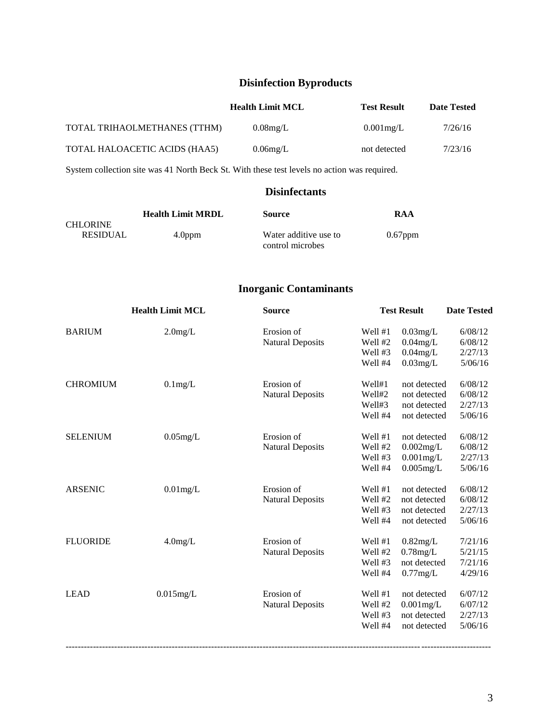# **Disinfection Byproducts**

|                               | <b>Health Limit MCL</b> | <b>Test Result</b> | <b>Date Tested</b> |
|-------------------------------|-------------------------|--------------------|--------------------|
| TOTAL TRIHAOLMETHANES (TTHM)  | $0.08$ mg/L             | $0.001$ mg/L       | 7/26/16            |
| TOTAL HALOACETIC ACIDS (HAA5) | $0.06$ mg/L             | not detected       | 7/23/16            |

System collection site was 41 North Beck St. With these test levels no action was required.

## **Disinfectants**

|                 | <b>Health Limit MRDL</b> | <b>Source</b>         | RAA        |
|-----------------|--------------------------|-----------------------|------------|
| <b>CHLORINE</b> |                          |                       |            |
| <b>RESIDUAL</b> | 4.0 <sub>ppm</sub>       | Water additive use to | $0.67$ ppm |
|                 |                          | control microbes      |            |

## **Inorganic Contaminants**

|                 | <b>Health Limit MCL</b> | <b>Source</b>           | <b>Test Result</b> |              | <b>Date Tested</b> |  |
|-----------------|-------------------------|-------------------------|--------------------|--------------|--------------------|--|
| <b>BARIUM</b>   | $2.0$ mg/L              | Erosion of              | Well #1            | $0.03$ mg/L  | 6/08/12            |  |
|                 |                         | <b>Natural Deposits</b> | Well #2            | $0.04$ mg/L  | 6/08/12            |  |
|                 |                         |                         | Well #3            | $0.04$ mg/L  | 2/27/13            |  |
|                 |                         |                         | Well #4            | $0.03$ mg/L  | 5/06/16            |  |
| <b>CHROMIUM</b> | $0.1$ mg/L              | Erosion of              | Well#1             | not detected | 6/08/12            |  |
|                 |                         | <b>Natural Deposits</b> | Well#2             | not detected | 6/08/12            |  |
|                 |                         |                         | Well#3             | not detected | 2/27/13            |  |
|                 |                         |                         | Well #4            | not detected | 5/06/16            |  |
| <b>SELENIUM</b> | $0.05$ mg/L             | Erosion of              | Well #1            | not detected | 6/08/12            |  |
|                 |                         | <b>Natural Deposits</b> | Well #2            | $0.002$ mg/L | 6/08/12            |  |
|                 |                         |                         | Well #3            | $0.001$ mg/L | 2/27/13            |  |
|                 |                         |                         | Well #4            | $0.005$ mg/L | 5/06/16            |  |
| <b>ARSENIC</b>  | $0.01$ mg/L             | Erosion of              | Well #1            | not detected | 6/08/12            |  |
|                 |                         | <b>Natural Deposits</b> | Well #2            | not detected | 6/08/12            |  |
|                 |                         |                         | Well #3            | not detected | 2/27/13            |  |
|                 |                         |                         | Well #4            | not detected | 5/06/16            |  |
| <b>FLUORIDE</b> | $4.0$ mg/L              | Erosion of              | Well #1            | $0.82$ mg/L  | 7/21/16            |  |
|                 |                         | <b>Natural Deposits</b> | Well #2            | $0.78$ mg/L  | 5/21/15            |  |
|                 |                         |                         | Well #3            | not detected | 7/21/16            |  |
|                 |                         |                         | Well #4            | $0.77$ mg/L  | 4/29/16            |  |
| <b>LEAD</b>     | $0.015$ mg/L            | Erosion of              | Well #1            | not detected | 6/07/12            |  |
|                 |                         | <b>Natural Deposits</b> | Well #2            | $0.001$ mg/L | 6/07/12            |  |
|                 |                         |                         | Well #3            | not detected | 2/27/13            |  |
|                 |                         |                         | Well #4            | not detected | 5/06/16            |  |
|                 |                         |                         |                    |              |                    |  |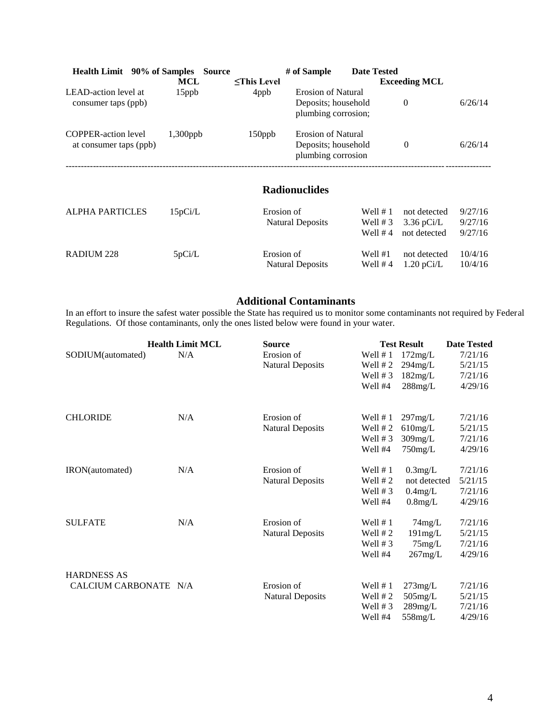| <b>Health Limit</b> 90% of Samples                   | MCL             | <b>Source</b> | <b><this b="" level<=""></this></b> | # of Sample                                                             | <b>Date Tested</b>     | <b>Exceeding MCL</b> |              |         |
|------------------------------------------------------|-----------------|---------------|-------------------------------------|-------------------------------------------------------------------------|------------------------|----------------------|--------------|---------|
| LEAD-action level at<br>consumer taps (ppb)          | $15$ ppb        |               | 4ppb                                | <b>Erosion of Natural</b><br>Deposits; household<br>plumbing corrosion; |                        | $\Omega$             |              | 6/26/14 |
| <b>COPPER-action level</b><br>at consumer taps (ppb) | $1,300$ ppb     |               | 150ppb                              | <b>Erosion of Natural</b><br>Deposits; household<br>plumbing corrosion  |                        | $\overline{0}$       |              | 6/26/14 |
|                                                      |                 |               |                                     | <b>Radionuclides</b>                                                    |                        |                      |              |         |
| AI DUA DADTICI EC                                    | $15.0$ $\sigma$ |               | $E$ rogion of                       |                                                                         | $W_{\alpha}$ 11 $\#$ 1 |                      | not dotacted | 0/27/16 |

| <b>ALPHA PARTICLES</b> | 15pCi/L | Erosion of                            | Well $# 1$           | not detected                         | 9/27/16            |
|------------------------|---------|---------------------------------------|----------------------|--------------------------------------|--------------------|
|                        |         | Natural Deposits                      |                      | Well # 3 $3.36$ pCi/L                | 9/27/16            |
|                        |         |                                       |                      | Well $#4$ not detected               | 9/27/16            |
| RADIUM 228             | 5pCi/L  | Erosion of<br><b>Natural Deposits</b> | Well #1<br>Well $#4$ | not detected<br>$1.20 \text{ pCi/L}$ | 10/4/16<br>10/4/16 |

## **Additional Contaminants**

In an effort to insure the safest water possible the State has required us to monitor some contaminants not required by Federal Regulations. Of those contaminants, only the ones listed below were found in your water.

|                       | <b>Health Limit MCL</b> | <b>Source</b>           |            | <b>Test Result</b> | <b>Date Tested</b> |
|-----------------------|-------------------------|-------------------------|------------|--------------------|--------------------|
| SODIUM(automated)     | N/A                     | Erosion of              | Well $# 1$ | 172mg/L            | 7/21/16            |
|                       |                         | <b>Natural Deposits</b> | Well $# 2$ | $294$ mg/L         | 5/21/15            |
|                       |                         |                         | Well $# 3$ | 182mg/L            | 7/21/16            |
|                       |                         |                         | Well #4    | $288$ mg/L         | 4/29/16            |
| <b>CHLORIDE</b>       | N/A                     | Erosion of              | Well $# 1$ | 297mg/L            | 7/21/16            |
|                       |                         | <b>Natural Deposits</b> | Well $# 2$ | $610$ mg/L         | 5/21/15            |
|                       |                         |                         | Well $# 3$ | $309$ mg/L         | 7/21/16            |
|                       |                         |                         | Well #4    | $750$ mg/L         | 4/29/16            |
| IRON(automated)       | N/A                     | Erosion of              | Well $# 1$ | 0.3mg/L            | 7/21/16            |
|                       |                         | <b>Natural Deposits</b> | Well $# 2$ | not detected       | 5/21/15            |
|                       |                         |                         | Well $# 3$ | 0.4mg/L            | 7/21/16            |
|                       |                         |                         | Well #4    | $0.8$ mg/L         | 4/29/16            |
| <b>SULFATE</b>        | N/A                     | Erosion of              | Well $# 1$ | $74$ mg/L          | 7/21/16            |
|                       |                         | <b>Natural Deposits</b> | Well $# 2$ | 191mg/L            | 5/21/15            |
|                       |                         |                         | Well $# 3$ | $75$ mg/L          | 7/21/16            |
|                       |                         |                         | Well #4    | 267mg/L            | 4/29/16            |
| <b>HARDNESS AS</b>    |                         |                         |            |                    |                    |
| CALCIUM CARBONATE N/A |                         | Erosion of              | Well $# 1$ | $273$ mg/L         | 7/21/16            |
|                       |                         | <b>Natural Deposits</b> | Well $# 2$ | $505$ mg/L         | 5/21/15            |
|                       |                         |                         | Well $# 3$ | $289$ mg/L         | 7/21/16            |
|                       |                         |                         | Well #4    | $558$ mg/L         | 4/29/16            |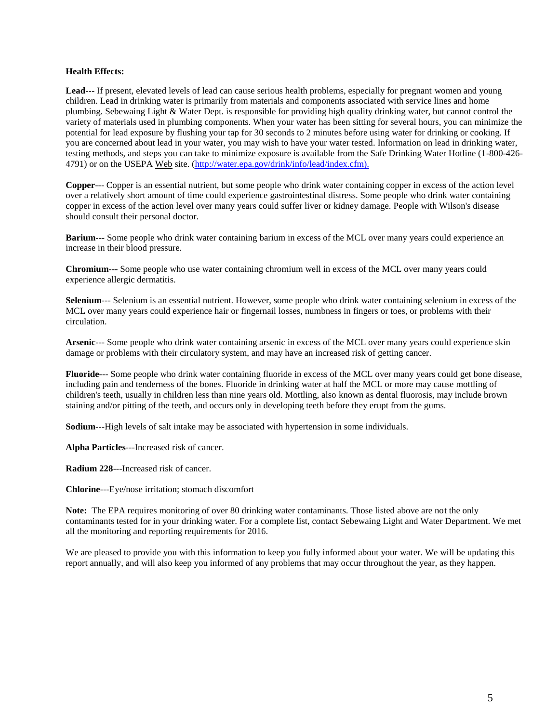#### **Health Effects:**

**Lead**--- If present, elevated levels of lead can cause serious health problems, especially for pregnant women and young children. Lead in drinking water is primarily from materials and components associated with service lines and home plumbing. Sebewaing Light & Water Dept. is responsible for providing high quality drinking water, but cannot control the variety of materials used in plumbing components. When your water has been sitting for several hours, you can minimize the potential for lead exposure by flushing your tap for 30 seconds to 2 minutes before using water for drinking or cooking. If you are concerned about lead in your water, you may wish to have your water tested. Information on lead in drinking water, testing methods, and steps you can take to minimize exposure is available from the Safe Drinking Water Hotline (1-800-426- 4791) or on the USEPA Web site. (http://water.epa.gov/drink/info/lead/index.cfm).

**Copper**--- Copper is an essential nutrient, but some people who drink water containing copper in excess of the action level over a relatively short amount of time could experience gastrointestinal distress. Some people who drink water containing copper in excess of the action level over many years could suffer liver or kidney damage. People with Wilson's disease should consult their personal doctor.

**Barium**--- Some people who drink water containing barium in excess of the MCL over many years could experience an increase in their blood pressure.

**Chromium**--- Some people who use water containing chromium well in excess of the MCL over many years could experience allergic dermatitis.

**Selenium**--- Selenium is an essential nutrient. However, some people who drink water containing selenium in excess of the MCL over many years could experience hair or fingernail losses, numbness in fingers or toes, or problems with their circulation.

**Arsenic**--- Some people who drink water containing arsenic in excess of the MCL over many years could experience skin damage or problems with their circulatory system, and may have an increased risk of getting cancer.

**Fluoride**--- Some people who drink water containing fluoride in excess of the MCL over many years could get bone disease, including pain and tenderness of the bones. Fluoride in drinking water at half the MCL or more may cause mottling of children's teeth, usually in children less than nine years old. Mottling, also known as dental fluorosis, may include brown staining and/or pitting of the teeth, and occurs only in developing teeth before they erupt from the gums.

**Sodium**---High levels of salt intake may be associated with hypertension in some individuals.

**Alpha Particles**---Increased risk of cancer.

**Radium 228**---Increased risk of cancer.

**Chlorine**---Eye/nose irritation; stomach discomfort

**Note:** The EPA requires monitoring of over 80 drinking water contaminants. Those listed above are not the only contaminants tested for in your drinking water. For a complete list, contact Sebewaing Light and Water Department. We met all the monitoring and reporting requirements for 2016.

We are pleased to provide you with this information to keep you fully informed about your water. We will be updating this report annually, and will also keep you informed of any problems that may occur throughout the year, as they happen.